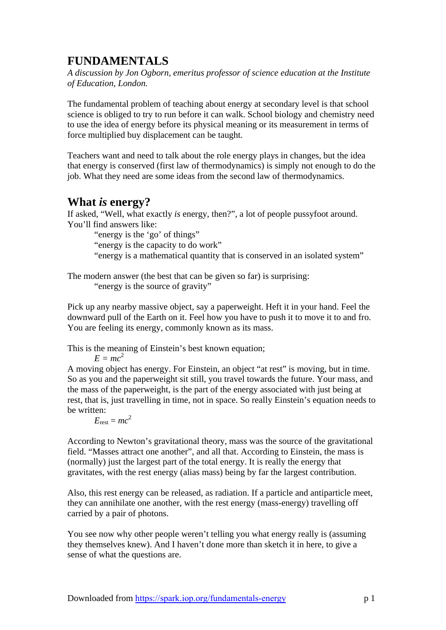# **FUNDAMENTALS**

*A discussion by Jon Ogborn, emeritus professor of science education at the Institute of Education, London.* 

The fundamental problem of teaching about energy at secondary level is that school science is obliged to try to run before it can walk. School biology and chemistry need to use the idea of energy before its physical meaning or its measurement in terms of force multiplied buy displacement can be taught.

Teachers want and need to talk about the role energy plays in changes, but the idea that energy is conserved (first law of thermodynamics) is simply not enough to do the job. What they need are some ideas from the second law of thermodynamics.

## **What** *is* **energy?**

If asked, "Well, what exactly *is* energy, then?", a lot of people pussyfoot around. You'll find answers like:

"energy is the 'go' of things"

"energy is the capacity to do work"

"energy is a mathematical quantity that is conserved in an isolated system"

The modern answer (the best that can be given so far) is surprising: "energy is the source of gravity"

Pick up any nearby massive object, say a paperweight. Heft it in your hand. Feel the downward pull of the Earth on it. Feel how you have to push it to move it to and fro. You are feeling its energy, commonly known as its mass.

This is the meaning of Einstein's best known equation;

 $E = mc^2$ 

A moving object has energy. For Einstein, an object "at rest" is moving, but in time. So as you and the paperweight sit still, you travel towards the future. Your mass, and the mass of the paperweight, is the part of the energy associated with just being at rest, that is, just travelling in time, not in space. So really Einstein's equation needs to be written:

 $E_{\text{rest}} = mc^2$ 

According to Newton's gravitational theory, mass was the source of the gravitational field. "Masses attract one another", and all that. According to Einstein, the mass is (normally) just the largest part of the total energy. It is really the energy that gravitates, with the rest energy (alias mass) being by far the largest contribution.

Also, this rest energy can be released, as radiation. If a particle and antiparticle meet, they can annihilate one another, with the rest energy (mass-energy) travelling off carried by a pair of photons.

You see now why other people weren't telling you what energy really is (assuming they themselves knew). And I haven't done more than sketch it in here, to give a sense of what the questions are.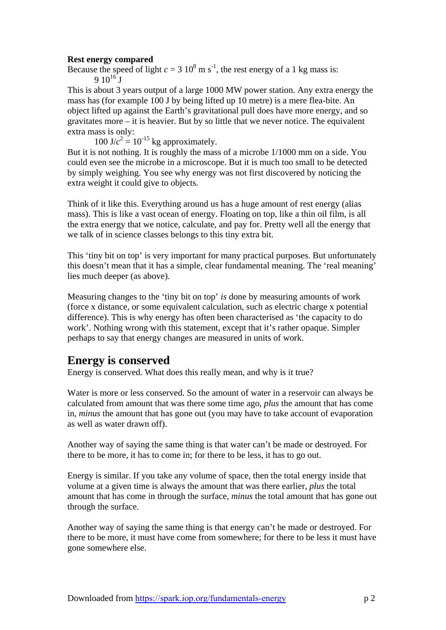#### **Rest energy compared**

Because the speed of light  $c = 3 \times 10^8 \text{ m s}^{-1}$ , the rest energy of a 1 kg mass is:  $9.10^{16}$  J

This is about 3 years output of a large 1000 MW power station. Any extra energy the mass has (for example 100 J by being lifted up 10 metre) is a mere flea-bite. An object lifted up against the Earth's gravitational pull does have more energy, and so gravitates more – it is heavier. But by so little that we never notice. The equivalent extra mass is only:

 $100 \text{ J}/c^2 = 10^{-15} \text{ kg approximately}.$ 

But it is not nothing. It is roughly the mass of a microbe 1/1000 mm on a side. You could even see the microbe in a microscope. But it is much too small to be detected by simply weighing. You see why energy was not first discovered by noticing the extra weight it could give to objects.

Think of it like this. Everything around us has a huge amount of rest energy (alias mass). This is like a vast ocean of energy. Floating on top, like a thin oil film, is all the extra energy that we notice, calculate, and pay for. Pretty well all the energy that we talk of in science classes belongs to this tiny extra bit.

This 'tiny bit on top' is very important for many practical purposes. But unfortunately this doesn't mean that it has a simple, clear fundamental meaning. The 'real meaning' lies much deeper (as above).

Measuring changes to the 'tiny bit on top' *is* done by measuring amounts of work (force x distance, or some equivalent calculation, such as electric charge x potential difference). This is why energy has often been characterised as 'the capacity to do work'. Nothing wrong with this statement, except that it's rather opaque. Simpler perhaps to say that energy changes are measured in units of work.

## **Energy is conserved**

Energy is conserved. What does this really mean, and why is it true?

Water is more or less conserved. So the amount of water in a reservoir can always be calculated from amount that was there some time ago, *plus* the amount that has come in, *minus* the amount that has gone out (you may have to take account of evaporation as well as water drawn off).

Another way of saying the same thing is that water can't be made or destroyed. For there to be more, it has to come in; for there to be less, it has to go out.

Energy is similar. If you take any volume of space, then the total energy inside that volume at a given time is always the amount that was there earlier, *plus* the total amount that has come in through the surface, *minus* the total amount that has gone out through the surface.

Another way of saying the same thing is that energy can't be made or destroyed. For there to be more, it must have come from somewhere; for there to be less it must have gone somewhere else.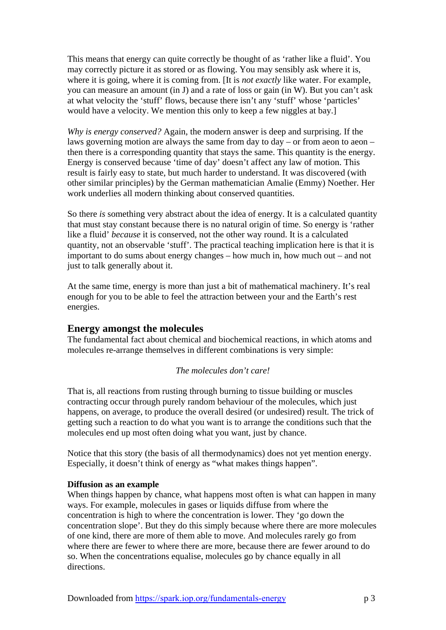This means that energy can quite correctly be thought of as 'rather like a fluid'. You may correctly picture it as stored or as flowing. You may sensibly ask where it is, where it is going, where it is coming from. [It is *not exactly* like water. For example, you can measure an amount (in J) and a rate of loss or gain (in W). But you can't ask at what velocity the 'stuff' flows, because there isn't any 'stuff' whose 'particles' would have a velocity. We mention this only to keep a few niggles at bay.]

*Why is energy conserved?* Again, the modern answer is deep and surprising. If the laws governing motion are always the same from day to day – or from aeon to aeon – then there is a corresponding quantity that stays the same. This quantity is the energy. Energy is conserved because 'time of day' doesn't affect any law of motion. This result is fairly easy to state, but much harder to understand. It was discovered (with other similar principles) by the German mathematician Amalie (Emmy) Noether. Her work underlies all modern thinking about conserved quantities.

So there *is* something very abstract about the idea of energy. It is a calculated quantity that must stay constant because there is no natural origin of time. So energy is 'rather like a fluid' *because* it is conserved, not the other way round. It is a calculated quantity, not an observable 'stuff'. The practical teaching implication here is that it is important to do sums about energy changes – how much in, how much out – and not just to talk generally about it.

At the same time, energy is more than just a bit of mathematical machinery. It's real enough for you to be able to feel the attraction between your and the Earth's rest energies.

## **Energy amongst the molecules**

The fundamental fact about chemical and biochemical reactions, in which atoms and molecules re-arrange themselves in different combinations is very simple:

#### *The molecules don't care!*

That is, all reactions from rusting through burning to tissue building or muscles contracting occur through purely random behaviour of the molecules, which just happens, on average, to produce the overall desired (or undesired) result. The trick of getting such a reaction to do what you want is to arrange the conditions such that the molecules end up most often doing what you want, just by chance.

Notice that this story (the basis of all thermodynamics) does not yet mention energy. Especially, it doesn't think of energy as "what makes things happen".

#### **Diffusion as an example**

When things happen by chance, what happens most often is what can happen in many ways. For example, molecules in gases or liquids diffuse from where the concentration is high to where the concentration is lower. They 'go down the concentration slope'. But they do this simply because where there are more molecules of one kind, there are more of them able to move. And molecules rarely go from where there are fewer to where there are more, because there are fewer around to do so. When the concentrations equalise, molecules go by chance equally in all directions.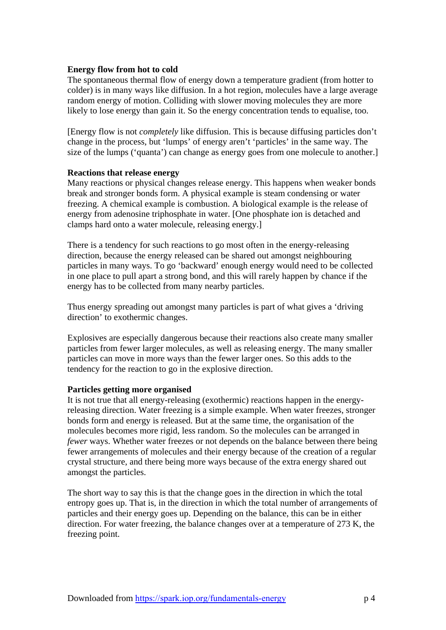#### **Energy flow from hot to cold**

The spontaneous thermal flow of energy down a temperature gradient (from hotter to colder) is in many ways like diffusion. In a hot region, molecules have a large average random energy of motion. Colliding with slower moving molecules they are more likely to lose energy than gain it. So the energy concentration tends to equalise, too.

[Energy flow is not *completely* like diffusion. This is because diffusing particles don't change in the process, but 'lumps' of energy aren't 'particles' in the same way. The size of the lumps ('quanta') can change as energy goes from one molecule to another.

#### **Reactions that release energy**

Many reactions or physical changes release energy. This happens when weaker bonds break and stronger bonds form. A physical example is steam condensing or water freezing. A chemical example is combustion. A biological example is the release of energy from adenosine triphosphate in water. [One phosphate ion is detached and clamps hard onto a water molecule, releasing energy.]

There is a tendency for such reactions to go most often in the energy-releasing direction, because the energy released can be shared out amongst neighbouring particles in many ways. To go 'backward' enough energy would need to be collected in one place to pull apart a strong bond, and this will rarely happen by chance if the energy has to be collected from many nearby particles.

Thus energy spreading out amongst many particles is part of what gives a 'driving direction' to exothermic changes.

Explosives are especially dangerous because their reactions also create many smaller particles from fewer larger molecules, as well as releasing energy. The many smaller particles can move in more ways than the fewer larger ones. So this adds to the tendency for the reaction to go in the explosive direction.

#### **Particles getting more organised**

It is not true that all energy-releasing (exothermic) reactions happen in the energyreleasing direction. Water freezing is a simple example. When water freezes, stronger bonds form and energy is released. But at the same time, the organisation of the molecules becomes more rigid, less random. So the molecules can be arranged in *fewer* ways. Whether water freezes or not depends on the balance between there being fewer arrangements of molecules and their energy because of the creation of a regular crystal structure, and there being more ways because of the extra energy shared out amongst the particles.

The short way to say this is that the change goes in the direction in which the total entropy goes up. That is, in the direction in which the total number of arrangements of particles and their energy goes up. Depending on the balance, this can be in either direction. For water freezing, the balance changes over at a temperature of 273 K, the freezing point.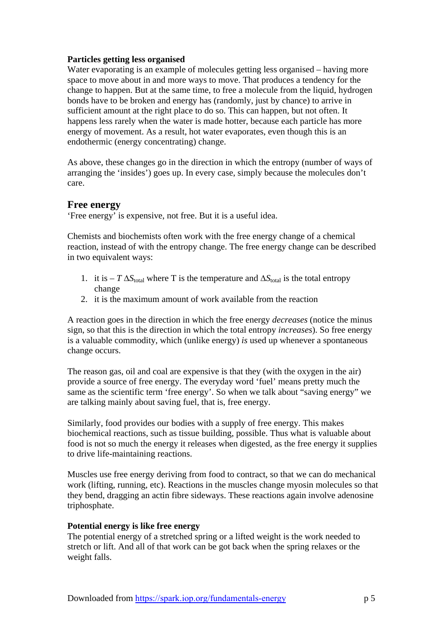#### **Particles getting less organised**

Water evaporating is an example of molecules getting less organised – having more space to move about in and more ways to move. That produces a tendency for the change to happen. But at the same time, to free a molecule from the liquid, hydrogen bonds have to be broken and energy has (randomly, just by chance) to arrive in sufficient amount at the right place to do so. This can happen, but not often. It happens less rarely when the water is made hotter, because each particle has more energy of movement. As a result, hot water evaporates, even though this is an endothermic (energy concentrating) change.

As above, these changes go in the direction in which the entropy (number of ways of arranging the 'insides') goes up. In every case, simply because the molecules don't care.

## **Free energy**

'Free energy' is expensive, not free. But it is a useful idea.

Chemists and biochemists often work with the free energy change of a chemical reaction, instead of with the entropy change. The free energy change can be described in two equivalent ways:

- 1. it is  $-T \Delta S_{total}$  where T is the temperature and  $\Delta S_{total}$  is the total entropy change
- 2. it is the maximum amount of work available from the reaction

A reaction goes in the direction in which the free energy *decreases* (notice the minus sign, so that this is the direction in which the total entropy *increases*). So free energy is a valuable commodity, which (unlike energy) *is* used up whenever a spontaneous change occurs.

The reason gas, oil and coal are expensive is that they (with the oxygen in the air) provide a source of free energy. The everyday word 'fuel' means pretty much the same as the scientific term 'free energy'. So when we talk about "saving energy" we are talking mainly about saving fuel, that is, free energy.

Similarly, food provides our bodies with a supply of free energy. This makes biochemical reactions, such as tissue building, possible. Thus what is valuable about food is not so much the energy it releases when digested, as the free energy it supplies to drive life-maintaining reactions.

Muscles use free energy deriving from food to contract, so that we can do mechanical work (lifting, running, etc). Reactions in the muscles change myosin molecules so that they bend, dragging an actin fibre sideways. These reactions again involve adenosine triphosphate.

#### **Potential energy is like free energy**

The potential energy of a stretched spring or a lifted weight is the work needed to stretch or lift. And all of that work can be got back when the spring relaxes or the weight falls.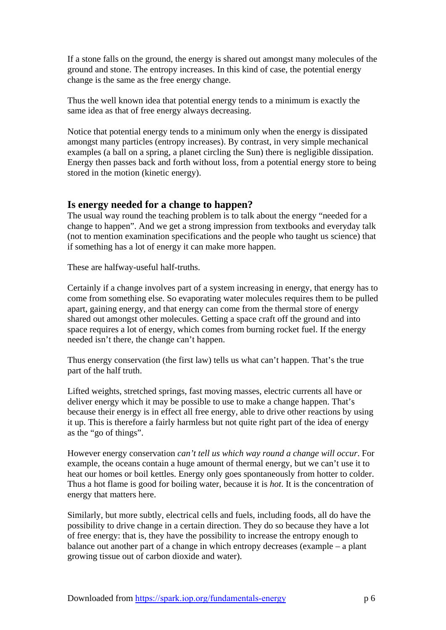If a stone falls on the ground, the energy is shared out amongst many molecules of the ground and stone. The entropy increases. In this kind of case, the potential energy change is the same as the free energy change.

Thus the well known idea that potential energy tends to a minimum is exactly the same idea as that of free energy always decreasing.

Notice that potential energy tends to a minimum only when the energy is dissipated amongst many particles (entropy increases). By contrast, in very simple mechanical examples (a ball on a spring, a planet circling the Sun) there is negligible dissipation. Energy then passes back and forth without loss, from a potential energy store to being stored in the motion (kinetic energy).

## **Is energy needed for a change to happen?**

The usual way round the teaching problem is to talk about the energy "needed for a change to happen". And we get a strong impression from textbooks and everyday talk (not to mention examination specifications and the people who taught us science) that if something has a lot of energy it can make more happen.

These are halfway-useful half-truths.

Certainly if a change involves part of a system increasing in energy, that energy has to come from something else. So evaporating water molecules requires them to be pulled apart, gaining energy, and that energy can come from the thermal store of energy shared out amongst other molecules. Getting a space craft off the ground and into space requires a lot of energy, which comes from burning rocket fuel. If the energy needed isn't there, the change can't happen.

Thus energy conservation (the first law) tells us what can't happen. That's the true part of the half truth.

Lifted weights, stretched springs, fast moving masses, electric currents all have or deliver energy which it may be possible to use to make a change happen. That's because their energy is in effect all free energy, able to drive other reactions by using it up. This is therefore a fairly harmless but not quite right part of the idea of energy as the "go of things".

However energy conservation *can't tell us which way round a change will occur*. For example, the oceans contain a huge amount of thermal energy, but we can't use it to heat our homes or boil kettles. Energy only goes spontaneously from hotter to colder. Thus a hot flame is good for boiling water, because it is *hot*. It is the concentration of energy that matters here.

Similarly, but more subtly, electrical cells and fuels, including foods, all do have the possibility to drive change in a certain direction. They do so because they have a lot of free energy: that is, they have the possibility to increase the entropy enough to balance out another part of a change in which entropy decreases (example – a plant growing tissue out of carbon dioxide and water).